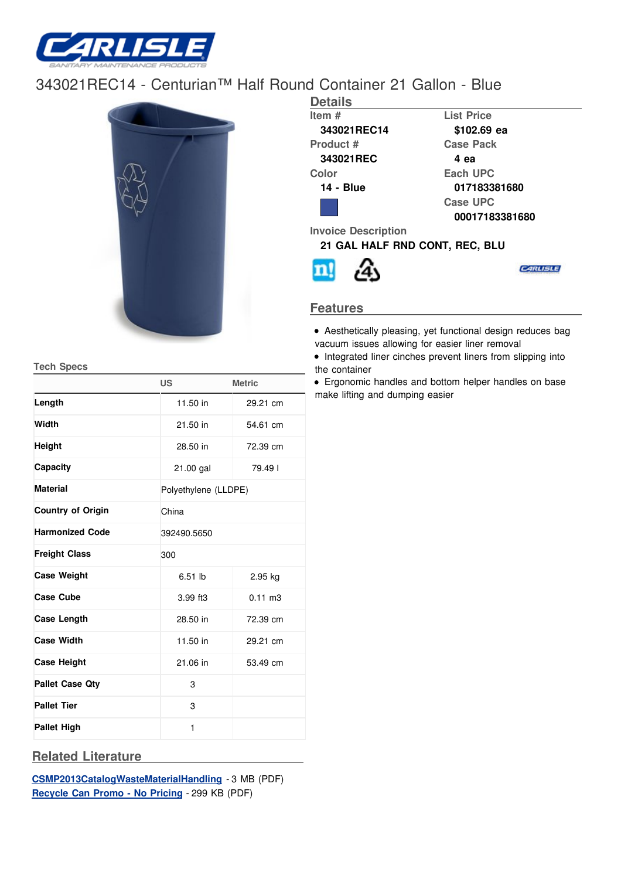

## [343021REC1](/)4 - Centurian™ Half Round Container 21 Gallon - Blue



| <b>Details</b>                 |                   |  |  |
|--------------------------------|-------------------|--|--|
| Item #                         | <b>List Price</b> |  |  |
| 343021REC14                    | \$102.69 ea       |  |  |
| Product #                      | <b>Case Pack</b>  |  |  |
| 343021REC                      | 4 еа              |  |  |
| Color                          | Each UPC          |  |  |
| 14 - Blue                      | 017183381680      |  |  |
|                                | Case UPC          |  |  |
|                                | 00017183381680    |  |  |
| <b>Invoice Description</b>     |                   |  |  |
| 21 GAL HALF RND CONT, REC, BLU |                   |  |  |
|                                |                   |  |  |

## **Features**

- Aesthetically pleasing, yet functional design reduces bag vacuum issues allowing for easier liner removal
- Integrated liner cinches prevent liners from slipping into the container
- Ergonomic handles and bottom helper handles on base make lifting and dumping easier

|                          | <b>US</b><br><b>Metric</b> |                   |  |  |  |
|--------------------------|----------------------------|-------------------|--|--|--|
| Length                   | 11.50 in                   | 29.21 cm          |  |  |  |
| Width                    | 21.50 in<br>54.61 cm       |                   |  |  |  |
| Height                   | 28.50 in                   | 72.39 cm          |  |  |  |
| Capacity                 | $21.00$ gal                | 79.491            |  |  |  |
| <b>Material</b>          | Polyethylene (LLDPE)       |                   |  |  |  |
| <b>Country of Origin</b> | China                      |                   |  |  |  |
| <b>Harmonized Code</b>   | 392490.5650                |                   |  |  |  |
| <b>Freight Class</b>     | 300                        |                   |  |  |  |
| <b>Case Weight</b>       | $6.51$ lb                  | $2.95$ kg         |  |  |  |
| <b>Case Cube</b>         | 3.99 ft3                   | $0.11 \text{ m}3$ |  |  |  |
| <b>Case Length</b>       | 28.50 in                   | 72.39 cm          |  |  |  |
| <b>Case Width</b>        | 11.50 in                   | 29.21 cm          |  |  |  |
| <b>Case Height</b>       | 21.06 in                   | 53.49 cm          |  |  |  |
| <b>Pallet Case Qty</b>   | 3                          |                   |  |  |  |
| <b>Pallet Tier</b>       | 3                          |                   |  |  |  |
| <b>Pallet High</b>       | 1                          |                   |  |  |  |

**Related Literature**

**[CSMP2013CatalogWasteMaterialHandling](http://www.carlislefsp.com/files/01_WasteMaterialHandling_LR.pdf)** - 3 MB (PDF) **[Recycle](http://www.carlislefsp.com/files/RecycleCanPromo_NOPRICING_PUBLISH.pdf) Can Promo - No Pricing** - 299 KB (PDF)